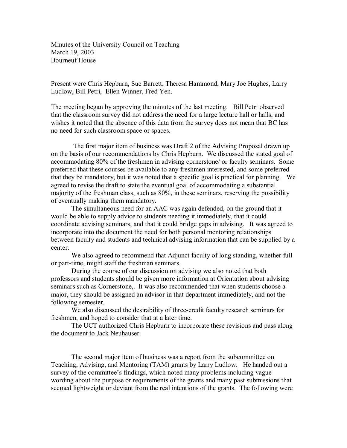Minutes of the University Council on Teaching March 19, 2003 Bourneuf House

Present were Chris Hepburn, Sue Barrett, Theresa Hammond, Mary Joe Hughes, Larry Ludlow, Bill Petri, Ellen Winner, Fred Yen.

The meeting began by approving the minutes of the last meeting. Bill Petri observed that the classroom survey did not address the need for a large lecture hall or halls, and wishes it noted that the absence of this data from the survey does not mean that BC has no need for such classroom space or spaces.

The first major item of business was Draft 2 of the Advising Proposal drawn up on the basis of our recommendations by Chris Hepburn. We discussed the stated goal of accommodating 80% of the freshmen in advising cornerstone/ or faculty seminars. Some preferred that these courses be available to any freshmen interested, and some preferred that they be mandatory, but it was noted that a specific goal is practical for planning. We agreed to revise the draft to state the eventual goal of accommodating a substantial majority of the freshman class, such as 80%, in these seminars, reserving the possibility of eventually making them mandatory.

The simultaneous need for an AAC was again defended, on the ground that it would be able to supply advice to students needing it immediately, that it could coordinate advising seminars, and that it could bridge gaps in advising. It was agreed to incorporate into the document the need for both personal mentoring relationships between faculty and students and technical advising information that can be supplied by a center.

We also agreed to recommend that Adjunct faculty of long standing, whether full or part-time, might staff the freshman seminars.

During the course of our discussion on advising we also noted that both professors and students should be given more information at Orientation about advising seminars such as Cornerstone,. It was also recommended that when students choose a major, they should be assigned an advisor in that department immediately, and not the following semester.

We also discussed the desirability of three-credit faculty research seminars for freshmen, and hoped to consider that at a later time.

The UCT authorized Chris Hepburn to incorporate these revisions and pass along the document to Jack Neuhauser.

The second major item of business was a report from the subcommittee on Teaching, Advising, and Mentoring (TAM) grants by Larry Ludlow. He handed out a survey of the committee's findings, which noted many problems including vague wording about the purpose or requirements of the grants and many past submissions that seemed lightweight or deviant from the real intentions of the grants. The following were